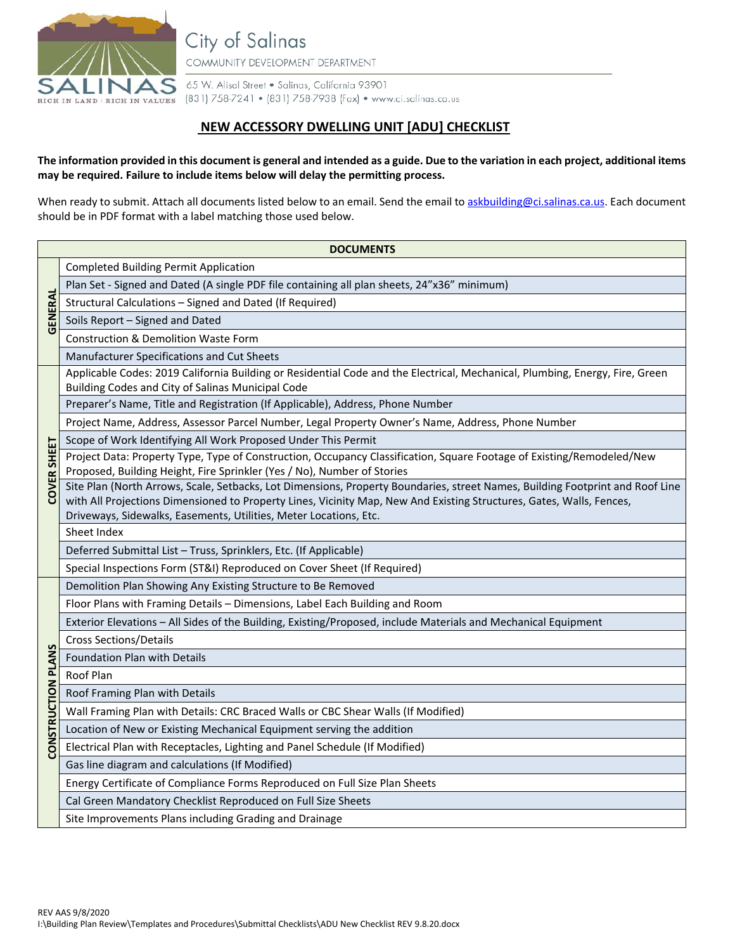

City of Salinas

COMMUNITY DEVELOPMENT DEPARTMENT

65 W. Alisal Street . Salinas, California 93901 RICH IN LAND | RICH IN VALUES (831) 758-7241 • (831) 758-7938 (Fax) • www.ci.solinas.ca.us

## **NEW ACCESSORY DWELLING UNIT [ADU] CHECKLIST**

## **The information provided in this document is general and intended as a guide. Due to the variation in each project, additional items may be required. Failure to include items below will delay the permitting process.**

When ready to submit. Attach all documents listed below to an email. Send the email t[o askbuilding@ci.salinas.ca.us.](mailto:askbuilding@ci.salinas.ca.us) Each document should be in PDF format with a label matching those used below.

| <b>DOCUMENTS</b>   |                                                                                                                                                                                        |  |  |  |
|--------------------|----------------------------------------------------------------------------------------------------------------------------------------------------------------------------------------|--|--|--|
| GENERAL            | <b>Completed Building Permit Application</b>                                                                                                                                           |  |  |  |
|                    | Plan Set - Signed and Dated (A single PDF file containing all plan sheets, 24"x36" minimum)                                                                                            |  |  |  |
|                    | Structural Calculations - Signed and Dated (If Required)                                                                                                                               |  |  |  |
|                    | Soils Report - Signed and Dated                                                                                                                                                        |  |  |  |
|                    | <b>Construction &amp; Demolition Waste Form</b>                                                                                                                                        |  |  |  |
|                    | Manufacturer Specifications and Cut Sheets                                                                                                                                             |  |  |  |
| COVER SHEET        | Applicable Codes: 2019 California Building or Residential Code and the Electrical, Mechanical, Plumbing, Energy, Fire, Green                                                           |  |  |  |
|                    | Building Codes and City of Salinas Municipal Code                                                                                                                                      |  |  |  |
|                    | Preparer's Name, Title and Registration (If Applicable), Address, Phone Number                                                                                                         |  |  |  |
|                    | Project Name, Address, Assessor Parcel Number, Legal Property Owner's Name, Address, Phone Number                                                                                      |  |  |  |
|                    | Scope of Work Identifying All Work Proposed Under This Permit<br>Project Data: Property Type, Type of Construction, Occupancy Classification, Square Footage of Existing/Remodeled/New |  |  |  |
|                    | Proposed, Building Height, Fire Sprinkler (Yes / No), Number of Stories                                                                                                                |  |  |  |
|                    | Site Plan (North Arrows, Scale, Setbacks, Lot Dimensions, Property Boundaries, street Names, Building Footprint and Roof Line                                                          |  |  |  |
|                    | with All Projections Dimensioned to Property Lines, Vicinity Map, New And Existing Structures, Gates, Walls, Fences,                                                                   |  |  |  |
|                    | Driveways, Sidewalks, Easements, Utilities, Meter Locations, Etc.                                                                                                                      |  |  |  |
|                    | Sheet Index                                                                                                                                                                            |  |  |  |
|                    | Deferred Submittal List - Truss, Sprinklers, Etc. (If Applicable)                                                                                                                      |  |  |  |
|                    | Special Inspections Form (ST&I) Reproduced on Cover Sheet (If Required)                                                                                                                |  |  |  |
| CONSTRUCTION PLANS | Demolition Plan Showing Any Existing Structure to Be Removed                                                                                                                           |  |  |  |
|                    | Floor Plans with Framing Details - Dimensions, Label Each Building and Room                                                                                                            |  |  |  |
|                    | Exterior Elevations - All Sides of the Building, Existing/Proposed, include Materials and Mechanical Equipment                                                                         |  |  |  |
|                    | <b>Cross Sections/Details</b>                                                                                                                                                          |  |  |  |
|                    | Foundation Plan with Details                                                                                                                                                           |  |  |  |
|                    | Roof Plan                                                                                                                                                                              |  |  |  |
|                    | Roof Framing Plan with Details<br>Wall Framing Plan with Details: CRC Braced Walls or CBC Shear Walls (If Modified)                                                                    |  |  |  |
|                    | Location of New or Existing Mechanical Equipment serving the addition                                                                                                                  |  |  |  |
|                    | Electrical Plan with Receptacles, Lighting and Panel Schedule (If Modified)                                                                                                            |  |  |  |
|                    | Gas line diagram and calculations (If Modified)                                                                                                                                        |  |  |  |
|                    | Energy Certificate of Compliance Forms Reproduced on Full Size Plan Sheets                                                                                                             |  |  |  |
|                    | Cal Green Mandatory Checklist Reproduced on Full Size Sheets                                                                                                                           |  |  |  |
|                    | Site Improvements Plans including Grading and Drainage                                                                                                                                 |  |  |  |
|                    |                                                                                                                                                                                        |  |  |  |